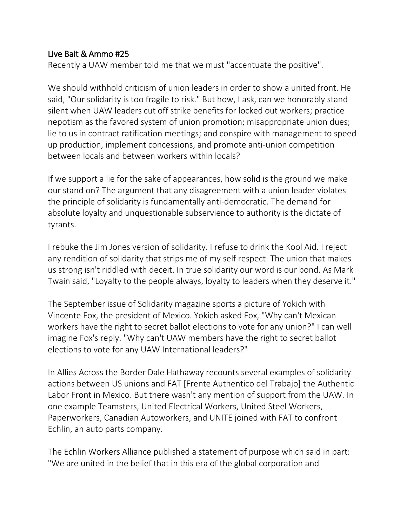## Live Bait & Ammo #25

Recently a UAW member told me that we must "accentuate the positive".

We should withhold criticism of union leaders in order to show a united front. He said, "Our solidarity is too fragile to risk." But how, I ask, can we honorably stand silent when UAW leaders cut off strike benefits for locked out workers; practice nepotism as the favored system of union promotion; misappropriate union dues; lie to us in contract ratification meetings; and conspire with management to speed up production, implement concessions, and promote anti-union competition between locals and between workers within locals?

If we support a lie for the sake of appearances, how solid is the ground we make our stand on? The argument that any disagreement with a union leader violates the principle of solidarity is fundamentally anti-democratic. The demand for absolute loyalty and unquestionable subservience to authority is the dictate of tyrants.

I rebuke the Jim Jones version of solidarity. I refuse to drink the Kool Aid. I reject any rendition of solidarity that strips me of my self respect. The union that makes us strong isn't riddled with deceit. In true solidarity our word is our bond. As Mark Twain said, "Loyalty to the people always, loyalty to leaders when they deserve it."

The September issue of Solidarity magazine sports a picture of Yokich with Vincente Fox, the president of Mexico. Yokich asked Fox, "Why can't Mexican workers have the right to secret ballot elections to vote for any union?" I can well imagine Fox's reply. "Why can't UAW members have the right to secret ballot elections to vote for any UAW International leaders?"

In Allies Across the Border Dale Hathaway recounts several examples of solidarity actions between US unions and FAT [Frente Authentico del Trabajo] the Authentic Labor Front in Mexico. But there wasn't any mention of support from the UAW. In one example Teamsters, United Electrical Workers, United Steel Workers, Paperworkers, Canadian Autoworkers, and UNITE joined with FAT to confront Echlin, an auto parts company.

The Echlin Workers Alliance published a statement of purpose which said in part: "We are united in the belief that in this era of the global corporation and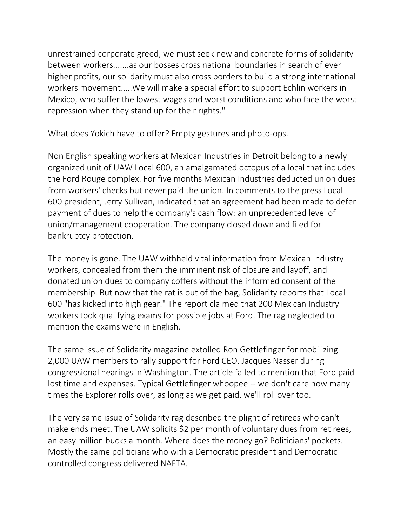unrestrained corporate greed, we must seek new and concrete forms of solidarity between workers.......as our bosses cross national boundaries in search of ever higher profits, our solidarity must also cross borders to build a strong international workers movement.....We will make a special effort to support Echlin workers in Mexico, who suffer the lowest wages and worst conditions and who face the worst repression when they stand up for their rights."

What does Yokich have to offer? Empty gestures and photo-ops.

Non English speaking workers at Mexican Industries in Detroit belong to a newly organized unit of UAW Local 600, an amalgamated octopus of a local that includes the Ford Rouge complex. For five months Mexican Industries deducted union dues from workers' checks but never paid the union. In comments to the press Local 600 president, Jerry Sullivan, indicated that an agreement had been made to defer payment of dues to help the company's cash flow: an unprecedented level of union/management cooperation. The company closed down and filed for bankruptcy protection.

The money is gone. The UAW withheld vital information from Mexican Industry workers, concealed from them the imminent risk of closure and layoff, and donated union dues to company coffers without the informed consent of the membership. But now that the rat is out of the bag, Solidarity reports that Local 600 "has kicked into high gear." The report claimed that 200 Mexican Industry workers took qualifying exams for possible jobs at Ford. The rag neglected to mention the exams were in English.

The same issue of Solidarity magazine extolled Ron Gettlefinger for mobilizing 2,000 UAW members to rally support for Ford CEO, Jacques Nasser during congressional hearings in Washington. The article failed to mention that Ford paid lost time and expenses. Typical Gettlefinger whoopee -- we don't care how many times the Explorer rolls over, as long as we get paid, we'll roll over too.

The very same issue of Solidarity rag described the plight of retirees who can't make ends meet. The UAW solicits \$2 per month of voluntary dues from retirees, an easy million bucks a month. Where does the money go? Politicians' pockets. Mostly the same politicians who with a Democratic president and Democratic controlled congress delivered NAFTA.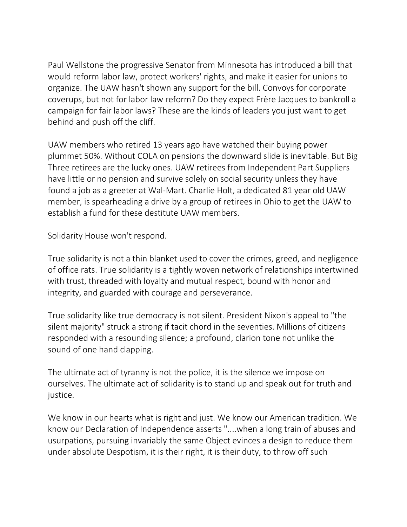Paul Wellstone the progressive Senator from Minnesota has introduced a bill that would reform labor law, protect workers' rights, and make it easier for unions to organize. The UAW hasn't shown any support for the bill. Convoys for corporate coverups, but not for labor law reform? Do they expect Frère Jacques to bankroll a campaign for fair labor laws? These are the kinds of leaders you just want to get behind and push off the cliff.

UAW members who retired 13 years ago have watched their buying power plummet 50%. Without COLA on pensions the downward slide is inevitable. But Big Three retirees are the lucky ones. UAW retirees from Independent Part Suppliers have little or no pension and survive solely on social security unless they have found a job as a greeter at Wal-Mart. Charlie Holt, a dedicated 81 year old UAW member, is spearheading a drive by a group of retirees in Ohio to get the UAW to establish a fund for these destitute UAW members.

Solidarity House won't respond.

True solidarity is not a thin blanket used to cover the crimes, greed, and negligence of office rats. True solidarity is a tightly woven network of relationships intertwined with trust, threaded with loyalty and mutual respect, bound with honor and integrity, and guarded with courage and perseverance.

True solidarity like true democracy is not silent. President Nixon's appeal to "the silent majority" struck a strong if tacit chord in the seventies. Millions of citizens responded with a resounding silence; a profound, clarion tone not unlike the sound of one hand clapping.

The ultimate act of tyranny is not the police, it is the silence we impose on ourselves. The ultimate act of solidarity is to stand up and speak out for truth and justice.

We know in our hearts what is right and just. We know our American tradition. We know our Declaration of Independence asserts "....when a long train of abuses and usurpations, pursuing invariably the same Object evinces a design to reduce them under absolute Despotism, it is their right, it is their duty, to throw off such